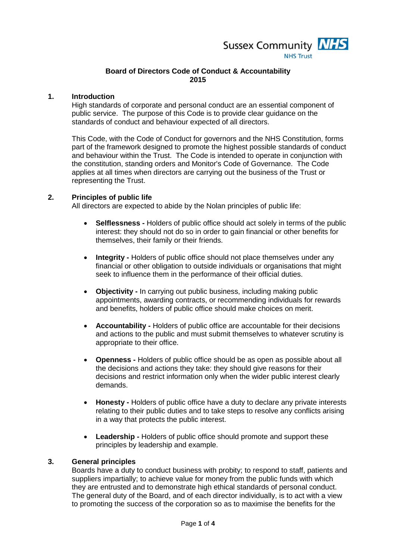

### **Board of Directors Code of Conduct & Accountability 2015**

#### **1. Introduction**

High standards of corporate and personal conduct are an essential component of public service. The purpose of this Code is to provide clear guidance on the standards of conduct and behaviour expected of all directors.

This Code, with the Code of Conduct for governors and the NHS Constitution, forms part of the framework designed to promote the highest possible standards of conduct and behaviour within the Trust. The Code is intended to operate in conjunction with the constitution, standing orders and Monitor's Code of Governance. The Code applies at all times when directors are carrying out the business of the Trust or representing the Trust.

#### **2. Principles of public life**

All directors are expected to abide by the Nolan principles of public life:

- **Selflessness -** Holders of public office should act solely in terms of the public interest: they should not do so in order to gain financial or other benefits for themselves, their family or their friends.
- **Integrity -** Holders of public office should not place themselves under any financial or other obligation to outside individuals or organisations that might seek to influence them in the performance of their official duties.
- **Objectivity -** In carrying out public business, including making public appointments, awarding contracts, or recommending individuals for rewards and benefits, holders of public office should make choices on merit.
- **Accountability -** Holders of public office are accountable for their decisions and actions to the public and must submit themselves to whatever scrutiny is appropriate to their office.
- **Openness -** Holders of public office should be as open as possible about all the decisions and actions they take: they should give reasons for their decisions and restrict information only when the wider public interest clearly demands.
- **Honesty -** Holders of public office have a duty to declare any private interests relating to their public duties and to take steps to resolve any conflicts arising in a way that protects the public interest.
- **Leadership -** Holders of public office should promote and support these principles by leadership and example.

### **3. General principles**

Boards have a duty to conduct business with probity; to respond to staff, patients and suppliers impartially; to achieve value for money from the public funds with which they are entrusted and to demonstrate high ethical standards of personal conduct. The general duty of the Board, and of each director individually, is to act with a view to promoting the success of the corporation so as to maximise the benefits for the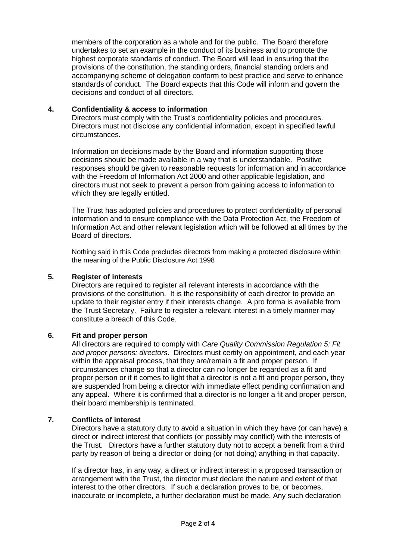members of the corporation as a whole and for the public. The Board therefore undertakes to set an example in the conduct of its business and to promote the highest corporate standards of conduct. The Board will lead in ensuring that the provisions of the constitution, the standing orders, financial standing orders and accompanying scheme of delegation conform to best practice and serve to enhance standards of conduct. The Board expects that this Code will inform and govern the decisions and conduct of all directors.

## **4. Confidentiality & access to information**

Directors must comply with the Trust's confidentiality policies and procedures. Directors must not disclose any confidential information, except in specified lawful circumstances.

Information on decisions made by the Board and information supporting those decisions should be made available in a way that is understandable. Positive responses should be given to reasonable requests for information and in accordance with the Freedom of Information Act 2000 and other applicable legislation, and directors must not seek to prevent a person from gaining access to information to which they are legally entitled.

The Trust has adopted policies and procedures to protect confidentiality of personal information and to ensure compliance with the Data Protection Act, the Freedom of Information Act and other relevant legislation which will be followed at all times by the Board of directors.

Nothing said in this Code precludes directors from making a protected disclosure within the meaning of the Public Disclosure Act 1998

## **5. Register of interests**

Directors are required to register all relevant interests in accordance with the provisions of the constitution. It is the responsibility of each director to provide an update to their register entry if their interests change. A pro forma is available from the Trust Secretary. Failure to register a relevant interest in a timely manner may constitute a breach of this Code.

# **6. Fit and proper person**

All directors are required to comply with *Care Quality Commission Regulation 5: Fit and proper persons: directors*. Directors must certify on appointment, and each year within the appraisal process, that they are/remain a fit and proper person. If circumstances change so that a director can no longer be regarded as a fit and proper person or if it comes to light that a director is not a fit and proper person, they are suspended from being a director with immediate effect pending confirmation and any appeal. Where it is confirmed that a director is no longer a fit and proper person, their board membership is terminated.

## **7. Conflicts of interest**

Directors have a statutory duty to avoid a situation in which they have (or can have) a direct or indirect interest that conflicts (or possibly may conflict) with the interests of the Trust. Directors have a further statutory duty not to accept a benefit from a third party by reason of being a director or doing (or not doing) anything in that capacity.

If a director has, in any way, a direct or indirect interest in a proposed transaction or arrangement with the Trust, the director must declare the nature and extent of that interest to the other directors. If such a declaration proves to be, or becomes, inaccurate or incomplete, a further declaration must be made. Any such declaration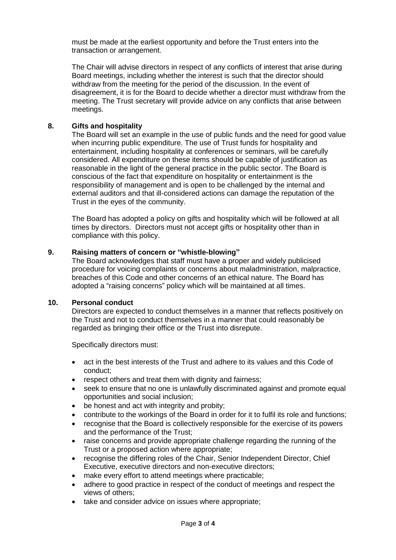must be made at the earliest opportunity and before the Trust enters into the transaction or arrangement.

The Chair will advise directors in respect of any conflicts of interest that arise during Board meetings, including whether the interest is such that the director should withdraw from the meeting for the period of the discussion. In the event of disagreement, it is for the Board to decide whether a director must withdraw from the meeting. The Trust secretary will provide advice on any conflicts that arise between meetings.

## **8. Gifts and hospitality**

The Board will set an example in the use of public funds and the need for good value when incurring public expenditure. The use of Trust funds for hospitality and entertainment, including hospitality at conferences or seminars, will be carefully considered. All expenditure on these items should be capable of justification as reasonable in the light of the general practice in the public sector. The Board is conscious of the fact that expenditure on hospitality or entertainment is the responsibility of management and is open to be challenged by the internal and external auditors and that ill-considered actions can damage the reputation of the Trust in the eyes of the community.

The Board has adopted a policy on gifts and hospitality which will be followed at all times by directors. Directors must not accept gifts or hospitality other than in compliance with this policy.

### **9. Raising matters of concern or "whistle-blowing"**

The Board acknowledges that staff must have a proper and widely publicised procedure for voicing complaints or concerns about maladministration, malpractice, breaches of this Code and other concerns of an ethical nature. The Board has adopted a "raising concerns" policy which will be maintained at all times.

## **10. Personal conduct**

Directors are expected to conduct themselves in a manner that reflects positively on the Trust and not to conduct themselves in a manner that could reasonably be regarded as bringing their office or the Trust into disrepute.

Specifically directors must:

- act in the best interests of the Trust and adhere to its values and this Code of conduct;
- respect others and treat them with dignity and fairness;
- seek to ensure that no one is unlawfully discriminated against and promote equal opportunities and social inclusion;
- be honest and act with integrity and probity;
- contribute to the workings of the Board in order for it to fulfil its role and functions;
- recognise that the Board is collectively responsible for the exercise of its powers and the performance of the Trust;
- raise concerns and provide appropriate challenge regarding the running of the Trust or a proposed action where appropriate;
- recognise the differing roles of the Chair, Senior Independent Director, Chief Executive, executive directors and non-executive directors;
- make every effort to attend meetings where practicable;
- adhere to good practice in respect of the conduct of meetings and respect the views of others;
- take and consider advice on issues where appropriate;